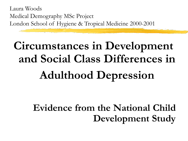Laura Woods Medical Demography MSc Project London School of Hygiene & Tropical Medicine 2000-2001

# **Circumstances in Development and Social Class Differences in Adulthood Depression**

#### **Evidence from the National Child Development Study**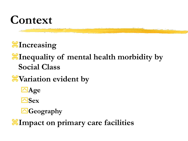

**Increasing** 

#### **If** Inequality of mental health morbidity by **Social Class**

*W* Variation evident by

**Age**

**Sex**

**Geography** 

**Impact on primary care facilities**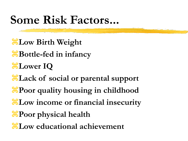### **Some Risk Factors...**

**Hellieum** Birth Weight **B**ottle-fed in infancy **Lower IQ Lack of social or parental support** *<u>EPoor</u>* **quality housing in childhood He Low income or financial insecurity H**Poor physical health **Low educational achievement**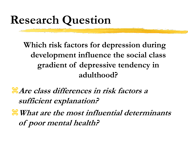## **Research Question**

**Which risk factors for depression during development influence the social class gradient of depressive tendency in adulthood?**

**Are class differences in risk factors a sufficient explanation?**

**What are the most influential determinants of poor mental health?**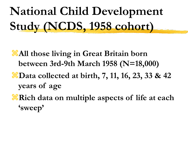**National Child Development Study (NCDS, 1958 cohort)**

**All those living in Great Britain born between 3rd-9th March 1958 (N=18,000)**

- *<del>B</del>Data collected at birth, 7, 11, 16, 23, 33 & 42* **years of age**
- *<del>R</del>Rich data on multiple aspects of life at each* **'sweep'**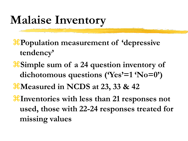### **Malaise Inventory**

**Population measurement of 'depressive tendency'**

**Simple sum of a 24 question inventory of dichotomous questions ('Yes'=1 'No=0') Measured in NCDS at 23, 33 & 42**

**Inventories with less than 21 responses not used, those with 22-24 responses treated for missing values**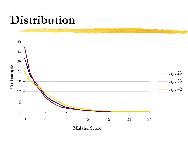#### **Distribution**

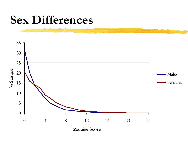#### **Sex Differences**

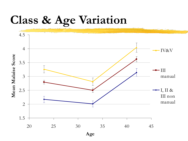#### **Class & Age Variation**

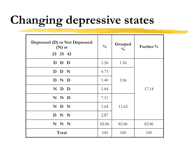## **Changing depressive states**

| Depressed (D) or Not Depressed<br>$(N)$ at<br>23 33 42 | $\frac{0}{0}$ | Grouped<br>$\frac{0}{0}$ | Further $\%$ |
|--------------------------------------------------------|---------------|--------------------------|--------------|
| D D D                                                  | 1.56          | 1.56                     |              |
| D D N                                                  | 0.73          |                          |              |
| D N D                                                  | 1.40          | 3.96                     |              |
| N D D                                                  | 1.84          |                          | 17.14        |
| N N D                                                  | 7.11          |                          |              |
| N D N                                                  | 1.64          | 11.62                    |              |
| D N N                                                  | 2.87          |                          |              |
| N N N                                                  | 82.86         | 82.86                    | 82.86        |
| Total                                                  | 100           | 100                      | 100          |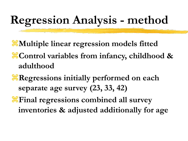## **Regression Analysis - method**

**Multiple linear regression models fitted Control variables from infancy, childhood & adulthood** 

**Regressions initially performed on each separate age survey (23, 33, 42)** 

*<del>If</del>* Final regressions combined all survey **inventories & adjusted additionally for age**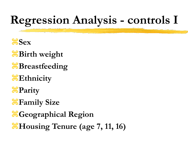## **Regression Analysis - controls I**

- $\frac{4}{5}$ Sex
- **Birth weight**
- *B*Breastfeeding
- **Ethnicity**
- **H**Parity
- *H*Family Size
- **H** Geographical Region **Housing Tenure (age 7, 11, 16)**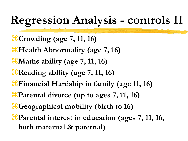## **Regression Analysis - controls II**

**Crowding (age 7, 11, 16) Health Abnormality (age 7, 16)** *<del>X</del>* Maths ability (age 7, 11, 16) **Reading ability (age 7, 11, 16) Financial Hardship in family (age 11, 16) Parental divorce (up to ages 7, 11, 16) Geographical mobility (birth to 16) Parental interest in education (ages 7, 11, 16, both maternal & paternal)**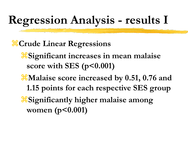## **Regression Analysis - results I**

*Crude Linear Regressions* 

**Significant increases in mean malaise score with SES (p<0.001)**

*XMalaise score increased by 0.51, 0.76 and* **1.15 points for each respective SES group Significantly higher malaise among women (p<0.001)**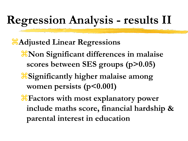## **Regression Analysis - results II**

**Adjusted Linear Regressions X** Non Significant differences in malaise **scores between SES groups (p>0.05) Significantly higher malaise among women persists (p<0.001)**

**Factors with most explanatory power include maths score, financial hardship & parental interest in education**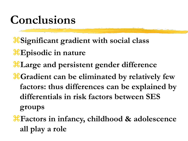### **Conclusions**

**Significant gradient with social class**

- **Episodic in nature**
- **Large and persistent gender difference**
- *Condient can be eliminated by relatively few* **factors: thus differences can be explained by differentials in risk factors between SES groups**
- **Factors in infancy, childhood & adolescence all play a role**